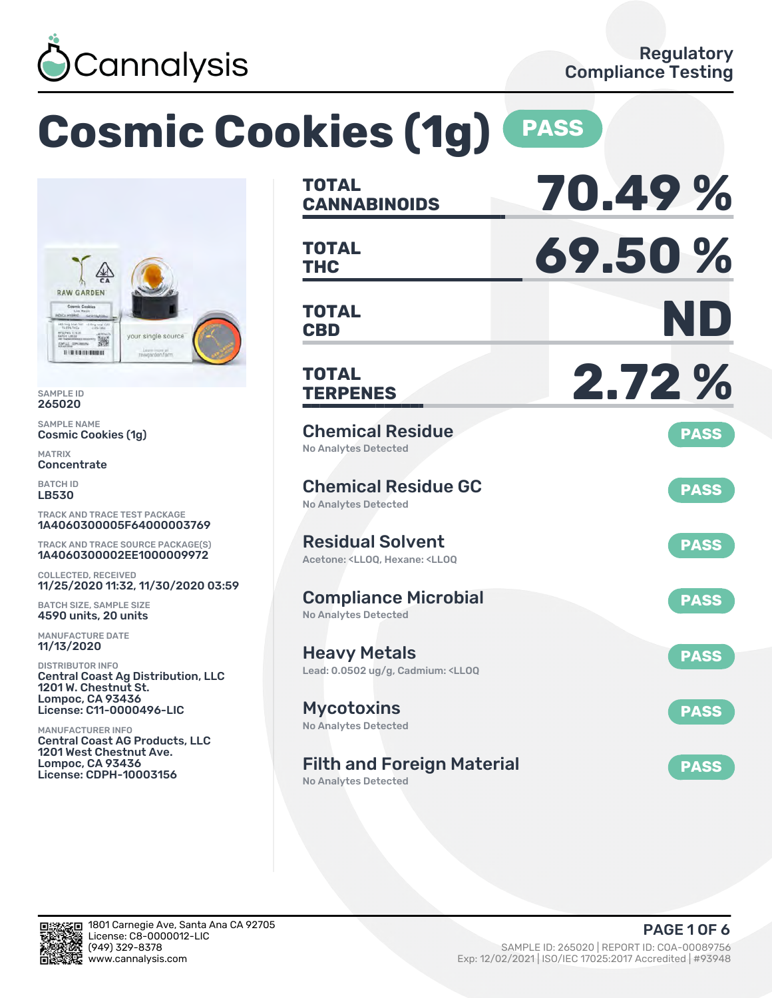

# **Cosmic Cookies (1g) PASS**



SAMPLE ID 265020

SAMPLE NAME Cosmic Cookies (1g)

MATRIX Concentrate

BATCH ID LB530

TRACK AND TRACE TEST PACKAGE 1A4060300005F64000003769

TRACK AND TRACE SOURCE PACKAGE(S) 1A4060300002EE1000009972

COLLECTED, RECEIVED 11/25/2020 11:32, 11/30/2020 03:59

BATCH SIZE, SAMPLE SIZE 4590 units, 20 units

MANUFACTURE DATE 11/13/2020

DISTRIBUTOR INFO Central Coast Ag Distribution, LLC 1201 W. Chestnut St. Lompoc, CA 93436 License: C11-0000496-LIC

MANUFACTURER INFO Central Coast AG Products, LLC 1201 West Chestnut Ave. Lompoc, CA 93436 License: CDPH-10003156

| <b>TOTAL</b><br><b>CANNABINOIDS</b>                                                                | 70.49%      |
|----------------------------------------------------------------------------------------------------|-------------|
| TOTAL<br><b>THC</b>                                                                                | 69.50%      |
| <b>TOTAL</b><br><b>CBD</b>                                                                         | ND          |
| TOTAL<br><b>TERPENES</b>                                                                           | 2.72%       |
| <b>Chemical Residue</b><br>No Analytes Detected                                                    | <b>PASS</b> |
| <b>Chemical Residue GC</b><br>No Analytes Detected                                                 | <b>PASS</b> |
| <b>Residual Solvent</b><br>Acetone: <lloq, <lloq<="" hexane:="" td=""><td><b>PASS</b></td></lloq,> | <b>PASS</b> |
| <b>Compliance Microbial</b><br><b>No Analytes Detected</b>                                         | <b>PASS</b> |
| <b>Heavy Metals</b><br>Lead: 0.0502 ug/g, Cadmium: <ll0q< td=""><td><b>PASS</b></td></ll0q<>       | <b>PASS</b> |
| <b>Mycotoxins</b><br>No Analytes Detected                                                          | <b>PASS</b> |
| <b>Filth and Foreign Material</b><br><b>No Analytes Detected</b>                                   | <b>PASS</b> |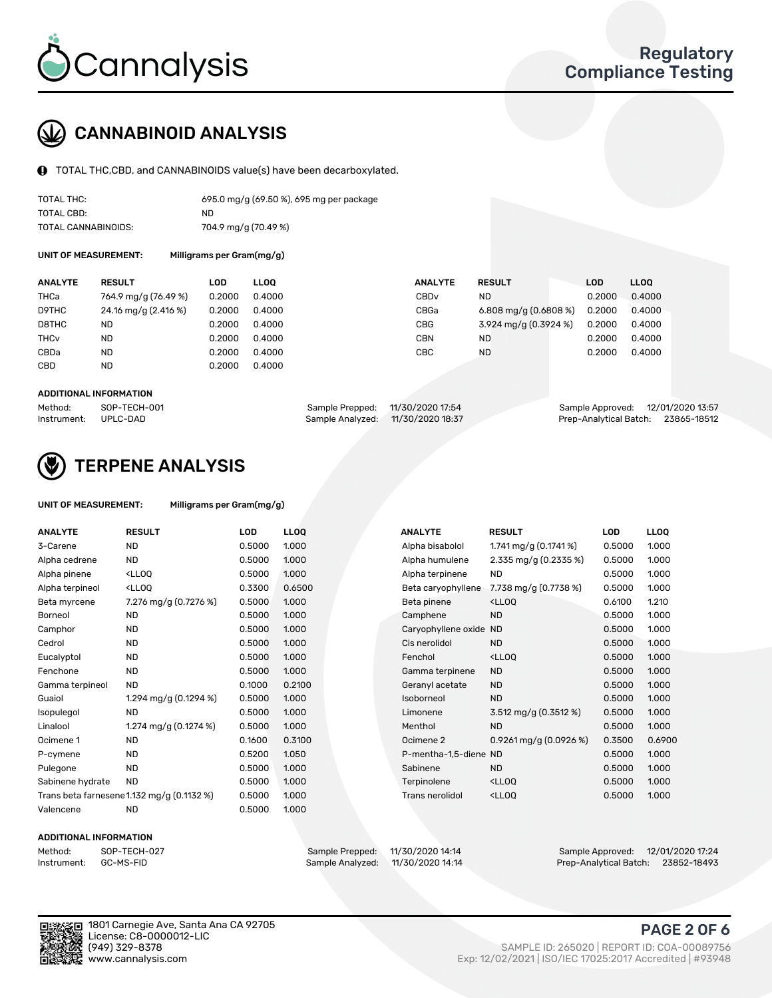

# CANNABINOID ANALYSIS

TOTAL THC,CBD, and CANNABINOIDS value(s) have been decarboxylated.

| TOTAL THC:          | 695.0 mg/g (69.50 %), 695 mg per package |
|---------------------|------------------------------------------|
| TOTAL CBD:          | ND.                                      |
| TOTAL CANNABINOIDS: | 704.9 mg/g (70.49 %)                     |

UNIT OF MEASUREMENT:

|  | Milligrams per Gram(mg/g) |
|--|---------------------------|
|--|---------------------------|

| <b>ANALYTE</b>         | <b>RESULT</b>        | LOD    | <b>LLOO</b> | <b>ANALYTE</b>   | <b>RESULT</b>           | LOD    | LL <sub>00</sub> |
|------------------------|----------------------|--------|-------------|------------------|-------------------------|--------|------------------|
| THCa                   | 764.9 mg/g (76.49 %) | 0.2000 | 0.4000      | CBD <sub>v</sub> | <b>ND</b>               | 0.2000 | 0.4000           |
| D9THC                  | 24.16 mg/g (2.416 %) | 0.2000 | 0.4000      | CBGa             | 6.808 mg/g $(0.6808\%)$ | 0.2000 | 0.4000           |
| D8THC                  | ND                   | 0.2000 | 0.4000      | <b>CBG</b>       | 3.924 mg/g (0.3924 %)   | 0.2000 | 0.4000           |
| <b>THC<sub>v</sub></b> | <b>ND</b>            | 0.2000 | 0.4000      | <b>CBN</b>       | <b>ND</b>               | 0.2000 | 0.4000           |
| CBDa                   | <b>ND</b>            | 0.2000 | 0.4000      | <b>CBC</b>       | <b>ND</b>               | 0.2000 | 0.4000           |
| CBD                    | <b>ND</b>            | 0.2000 | 0.4000      |                  |                         |        |                  |
|                        |                      |        |             |                  |                         |        |                  |

#### ADDITIONAL INFORMATION

| Method:              | SOP-TECH-001 | Sample Prepped: 11/30/2020 17:54  | Sample Approved: 12/01/2020 13:57  |  |
|----------------------|--------------|-----------------------------------|------------------------------------|--|
| Instrument: UPLC-DAD |              | Sample Analyzed: 11/30/2020 18:37 | Prep-Analytical Batch: 23865-18512 |  |



# TERPENE ANALYSIS

| UNIT OF MEASUREMENT: | Milligrams per Gram(mg/g) |
|----------------------|---------------------------|
|----------------------|---------------------------|

| <b>ANALYTE</b>   | <b>RESULT</b>                                                                                                                             | <b>LOD</b> | <b>LLOQ</b> | <b>ANALYTE</b>         | <b>RESULT</b>                                      | LOD    | <b>LLOQ</b> |
|------------------|-------------------------------------------------------------------------------------------------------------------------------------------|------------|-------------|------------------------|----------------------------------------------------|--------|-------------|
| 3-Carene         | <b>ND</b>                                                                                                                                 | 0.5000     | 1.000       | Alpha bisabolol        | 1.741 mg/g $(0.1741\%)$                            | 0.5000 | 1.000       |
| Alpha cedrene    | <b>ND</b>                                                                                                                                 | 0.5000     | 1.000       | Alpha humulene         | 2.335 mg/g (0.2335 %)                              | 0.5000 | 1.000       |
| Alpha pinene     | <lloq< td=""><td>0.5000</td><td>1.000</td><td>Alpha terpinene</td><td><b>ND</b></td><td>0.5000</td><td>1.000</td></lloq<>                 | 0.5000     | 1.000       | Alpha terpinene        | <b>ND</b>                                          | 0.5000 | 1.000       |
| Alpha terpineol  | <lloq< td=""><td>0.3300</td><td>0.6500</td><td>Beta caryophyllene</td><td>7.738 mg/g (0.7738 %)</td><td>0.5000</td><td>1.000</td></lloq<> | 0.3300     | 0.6500      | Beta caryophyllene     | 7.738 mg/g (0.7738 %)                              | 0.5000 | 1.000       |
| Beta myrcene     | 7.276 mg/g (0.7276 %)                                                                                                                     | 0.5000     | 1.000       | Beta pinene            | <lloq< td=""><td>0.6100</td><td>1.210</td></lloq<> | 0.6100 | 1.210       |
| Borneol          | <b>ND</b>                                                                                                                                 | 0.5000     | 1.000       | Camphene               | <b>ND</b>                                          | 0.5000 | 1.000       |
| Camphor          | <b>ND</b>                                                                                                                                 | 0.5000     | 1.000       | Caryophyllene oxide ND |                                                    | 0.5000 | 1.000       |
| Cedrol           | <b>ND</b>                                                                                                                                 | 0.5000     | 1.000       | Cis nerolidol          | <b>ND</b>                                          | 0.5000 | 1.000       |
| Eucalyptol       | <b>ND</b>                                                                                                                                 | 0.5000     | 1.000       | Fenchol                | <lloq< td=""><td>0.5000</td><td>1.000</td></lloq<> | 0.5000 | 1.000       |
| Fenchone         | <b>ND</b>                                                                                                                                 | 0.5000     | 1.000       | Gamma terpinene        | <b>ND</b>                                          | 0.5000 | 1.000       |
| Gamma terpineol  | <b>ND</b>                                                                                                                                 | 0.1000     | 0.2100      | Geranyl acetate        | <b>ND</b>                                          | 0.5000 | 1.000       |
| Guaiol           | 1.294 mg/g (0.1294 %)                                                                                                                     | 0.5000     | 1.000       | Isoborneol             | <b>ND</b>                                          | 0.5000 | 1.000       |
| Isopulegol       | <b>ND</b>                                                                                                                                 | 0.5000     | 1.000       | Limonene               | $3.512 \text{ mg/g} (0.3512 \text{ %})$            | 0.5000 | 1.000       |
| Linalool         | 1.274 mg/g (0.1274 %)                                                                                                                     | 0.5000     | 1.000       | Menthol                | <b>ND</b>                                          | 0.5000 | 1.000       |
| Ocimene 1        | <b>ND</b>                                                                                                                                 | 0.1600     | 0.3100      | Ocimene 2              | $0.9261$ mg/g $(0.0926\%)$                         | 0.3500 | 0.6900      |
| P-cymene         | <b>ND</b>                                                                                                                                 | 0.5200     | 1.050       | P-mentha-1,5-diene ND  |                                                    | 0.5000 | 1.000       |
| Pulegone         | <b>ND</b>                                                                                                                                 | 0.5000     | 1.000       | Sabinene               | <b>ND</b>                                          | 0.5000 | 1.000       |
| Sabinene hydrate | <b>ND</b>                                                                                                                                 | 0.5000     | 1.000       | Terpinolene            | <lloq< td=""><td>0.5000</td><td>1.000</td></lloq<> | 0.5000 | 1.000       |
|                  | Trans beta farnesene1.132 mg/g (0.1132 %)                                                                                                 | 0.5000     | 1.000       | <b>Trans nerolidol</b> | <lloq< td=""><td>0.5000</td><td>1.000</td></lloq<> | 0.5000 | 1.000       |
| Valencene        | <b>ND</b>                                                                                                                                 | 0.5000     | 1.000       |                        |                                                    |        |             |

#### ADDITIONAL INFORMATION

| Method:     | SOP-TECH |
|-------------|----------|
| Instrument: | GC-MS-FI |

Method: SOP-TECH-027 Sample Prepped: 11/30/2020 14:14 Sample Approved: 12/01/2020 17:24 Prep-Analytical Batch: 23852-18493



1801 Carnegie Ave, Santa Ana CA 92705 License: C8-0000012-LIC<br>(949) 329-8378

## PAGE 2 OF 6

(949) 329-8378 SAMPLE ID: 265020 | REPORT ID: COA-00089756 Exp: 12/02/2021 | ISO/IEC 17025:2017 Accredited | #93948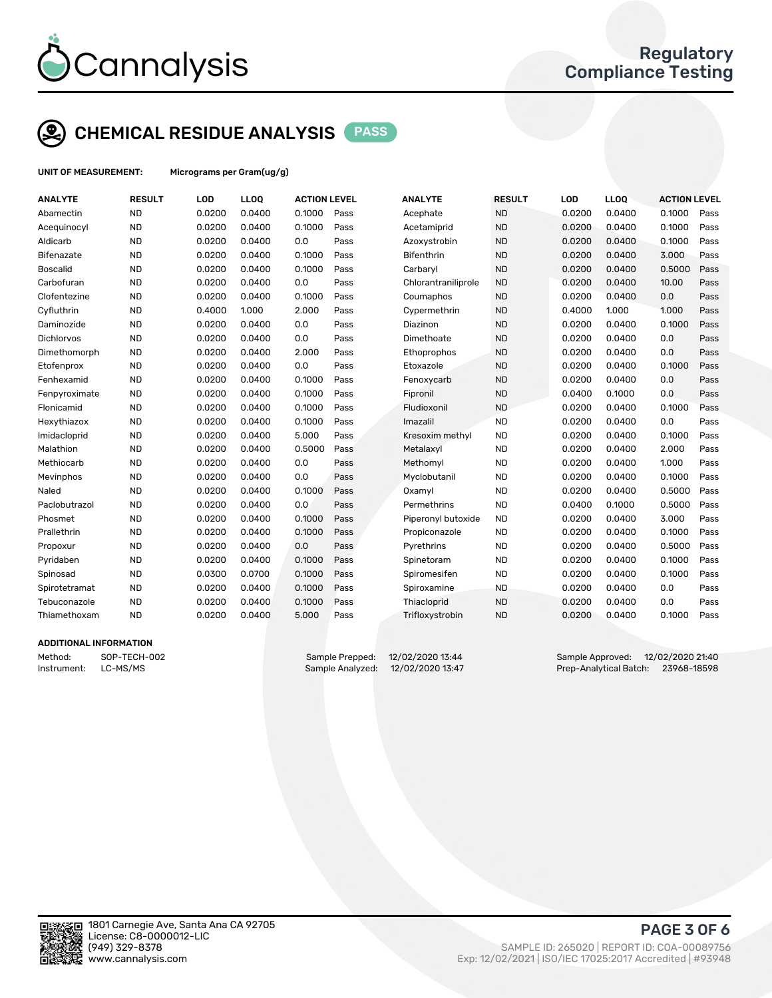

# CHEMICAL RESIDUE ANALYSIS PASS

UNIT OF MEASUREMENT: Micrograms per Gram(ug/g)

| <b>ANALYTE</b>    | <b>RESULT</b> | LOD    | <b>LLOQ</b> | <b>ACTION LEVEL</b> |      | <b>ANALYTE</b>      | <b>RESULT</b> | LOD    | <b>LLOQ</b> | <b>ACTION LEVEL</b> |      |
|-------------------|---------------|--------|-------------|---------------------|------|---------------------|---------------|--------|-------------|---------------------|------|
| Abamectin         | <b>ND</b>     | 0.0200 | 0.0400      | 0.1000              | Pass | Acephate            | <b>ND</b>     | 0.0200 | 0.0400      | 0.1000              | Pass |
| Acequinocyl       | <b>ND</b>     | 0.0200 | 0.0400      | 0.1000              | Pass | Acetamiprid         | <b>ND</b>     | 0.0200 | 0.0400      | 0.1000              | Pass |
| Aldicarb          | <b>ND</b>     | 0.0200 | 0.0400      | 0.0                 | Pass | Azoxystrobin        | <b>ND</b>     | 0.0200 | 0.0400      | 0.1000              | Pass |
| <b>Bifenazate</b> | <b>ND</b>     | 0.0200 | 0.0400      | 0.1000              | Pass | Bifenthrin          | <b>ND</b>     | 0.0200 | 0.0400      | 3.000               | Pass |
| <b>Boscalid</b>   | <b>ND</b>     | 0.0200 | 0.0400      | 0.1000              | Pass | Carbaryl            | <b>ND</b>     | 0.0200 | 0.0400      | 0.5000              | Pass |
| Carbofuran        | <b>ND</b>     | 0.0200 | 0.0400      | 0.0                 | Pass | Chlorantraniliprole | <b>ND</b>     | 0.0200 | 0.0400      | 10.00               | Pass |
| Clofentezine      | <b>ND</b>     | 0.0200 | 0.0400      | 0.1000              | Pass | Coumaphos           | <b>ND</b>     | 0.0200 | 0.0400      | 0.0                 | Pass |
| Cyfluthrin        | <b>ND</b>     | 0.4000 | 1.000       | 2.000               | Pass | Cypermethrin        | <b>ND</b>     | 0.4000 | 1.000       | 1.000               | Pass |
| Daminozide        | <b>ND</b>     | 0.0200 | 0.0400      | 0.0                 | Pass | Diazinon            | <b>ND</b>     | 0.0200 | 0.0400      | 0.1000              | Pass |
| Dichlorvos        | <b>ND</b>     | 0.0200 | 0.0400      | 0.0                 | Pass | Dimethoate          | <b>ND</b>     | 0.0200 | 0.0400      | 0.0                 | Pass |
| Dimethomorph      | <b>ND</b>     | 0.0200 | 0.0400      | 2.000               | Pass | Ethoprophos         | <b>ND</b>     | 0.0200 | 0.0400      | 0.0                 | Pass |
| Etofenprox        | <b>ND</b>     | 0.0200 | 0.0400      | 0.0                 | Pass | Etoxazole           | <b>ND</b>     | 0.0200 | 0.0400      | 0.1000              | Pass |
| Fenhexamid        | <b>ND</b>     | 0.0200 | 0.0400      | 0.1000              | Pass | Fenoxycarb          | <b>ND</b>     | 0.0200 | 0.0400      | 0.0                 | Pass |
| Fenpyroximate     | <b>ND</b>     | 0.0200 | 0.0400      | 0.1000              | Pass | Fipronil            | <b>ND</b>     | 0.0400 | 0.1000      | 0.0                 | Pass |
| Flonicamid        | <b>ND</b>     | 0.0200 | 0.0400      | 0.1000              | Pass | Fludioxonil         | <b>ND</b>     | 0.0200 | 0.0400      | 0.1000              | Pass |
| Hexythiazox       | <b>ND</b>     | 0.0200 | 0.0400      | 0.1000              | Pass | Imazalil            | <b>ND</b>     | 0.0200 | 0.0400      | 0.0                 | Pass |
| Imidacloprid      | <b>ND</b>     | 0.0200 | 0.0400      | 5.000               | Pass | Kresoxim methyl     | <b>ND</b>     | 0.0200 | 0.0400      | 0.1000              | Pass |
| Malathion         | <b>ND</b>     | 0.0200 | 0.0400      | 0.5000              | Pass | Metalaxyl           | <b>ND</b>     | 0.0200 | 0.0400      | 2.000               | Pass |
| Methiocarb        | <b>ND</b>     | 0.0200 | 0.0400      | 0.0                 | Pass | Methomyl            | <b>ND</b>     | 0.0200 | 0.0400      | 1.000               | Pass |
| Mevinphos         | <b>ND</b>     | 0.0200 | 0.0400      | 0.0                 | Pass | Myclobutanil        | <b>ND</b>     | 0.0200 | 0.0400      | 0.1000              | Pass |
| Naled             | <b>ND</b>     | 0.0200 | 0.0400      | 0.1000              | Pass | Oxamyl              | <b>ND</b>     | 0.0200 | 0.0400      | 0.5000              | Pass |
| Paclobutrazol     | <b>ND</b>     | 0.0200 | 0.0400      | 0.0                 | Pass | Permethrins         | <b>ND</b>     | 0.0400 | 0.1000      | 0.5000              | Pass |
| Phosmet           | <b>ND</b>     | 0.0200 | 0.0400      | 0.1000              | Pass | Piperonyl butoxide  | <b>ND</b>     | 0.0200 | 0.0400      | 3.000               | Pass |
| Prallethrin       | <b>ND</b>     | 0.0200 | 0.0400      | 0.1000              | Pass | Propiconazole       | <b>ND</b>     | 0.0200 | 0.0400      | 0.1000              | Pass |
| Propoxur          | <b>ND</b>     | 0.0200 | 0.0400      | 0.0                 | Pass | Pyrethrins          | <b>ND</b>     | 0.0200 | 0.0400      | 0.5000              | Pass |
| Pyridaben         | <b>ND</b>     | 0.0200 | 0.0400      | 0.1000              | Pass | Spinetoram          | <b>ND</b>     | 0.0200 | 0.0400      | 0.1000              | Pass |
| Spinosad          | <b>ND</b>     | 0.0300 | 0.0700      | 0.1000              | Pass | Spiromesifen        | <b>ND</b>     | 0.0200 | 0.0400      | 0.1000              | Pass |
| Spirotetramat     | <b>ND</b>     | 0.0200 | 0.0400      | 0.1000              | Pass | Spiroxamine         | <b>ND</b>     | 0.0200 | 0.0400      | 0.0                 | Pass |
| Tebuconazole      | <b>ND</b>     | 0.0200 | 0.0400      | 0.1000              | Pass | Thiacloprid         | <b>ND</b>     | 0.0200 | 0.0400      | 0.0                 | Pass |
| Thiamethoxam      | <b>ND</b>     | 0.0200 | 0.0400      | 5.000               | Pass | Trifloxystrobin     | <b>ND</b>     | 0.0200 | 0.0400      | 0.1000              | Pass |
|                   |               |        |             |                     |      |                     |               |        |             |                     |      |

#### ADDITIONAL INFORMATION

Instrument: LC-MS/MS Sample Analyzed: 12/02/2020 13:47 Prep-Analytical Batch: 23968-18598

Method: SOP-TECH-002 Sample Prepped: 12/02/2020 13:44 Sample Approved: 12/02/2020 21:40



PAGE 3 OF 6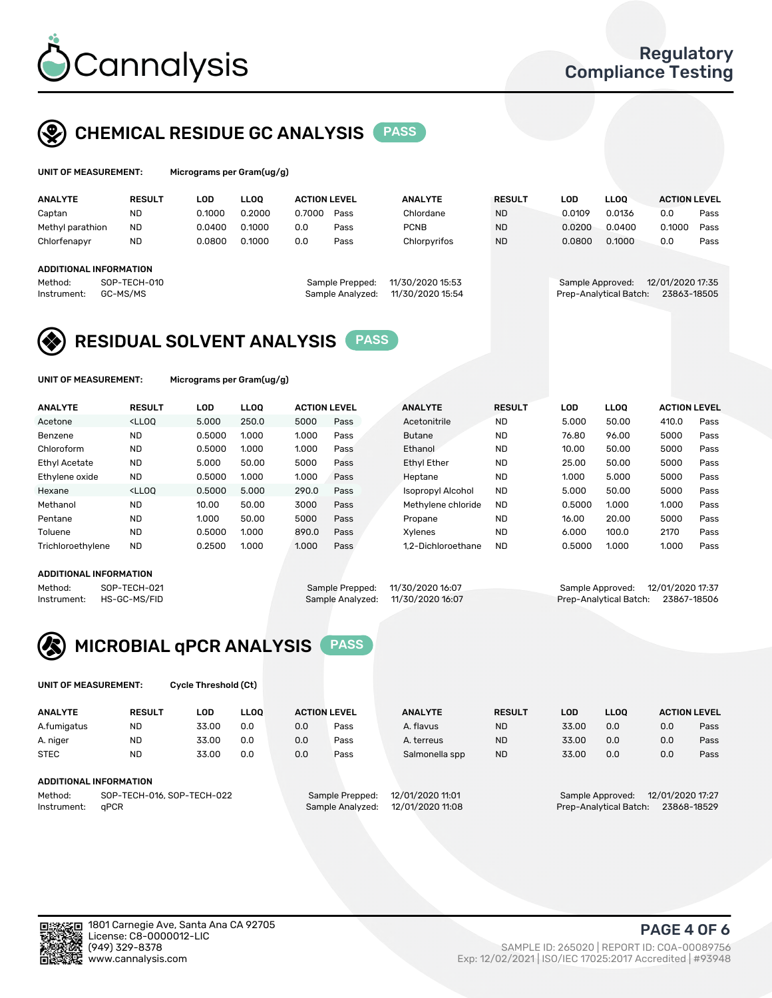

# CHEMICAL RESIDUE GC ANALYSIS PASS

| UNIT OF MEASUREMENT: | Microgram |
|----------------------|-----------|
|                      |           |

Is per Gram(ug/g)

| <b>ANALYTE</b>         | <b>RESULT</b>            | LOD    | <b>LLOO</b> | <b>ACTION LEVEL</b> |                                     | <b>ANALYTE</b>                       | <b>RESULT</b> | LOD              | <b>LLOO</b>            | <b>ACTION LEVEL</b>             |      |
|------------------------|--------------------------|--------|-------------|---------------------|-------------------------------------|--------------------------------------|---------------|------------------|------------------------|---------------------------------|------|
| Captan                 | <b>ND</b>                | 0.1000 | 0.2000      | 0.7000              | Pass                                | Chlordane                            | <b>ND</b>     | 0.0109           | 0.0136                 | 0.0                             | Pass |
| Methyl parathion       | <b>ND</b>                | 0.0400 | 0.1000      | 0.0                 | Pass                                | <b>PCNB</b>                          | <b>ND</b>     | 0.0200           | 0.0400                 | 0.1000                          | Pass |
| Chlorfenapyr           | <b>ND</b>                | 0.0800 | 0.1000      | 0.0                 | Pass                                | Chlorpyrifos                         | <b>ND</b>     | 0.0800           | 0.1000                 | 0.0                             | Pass |
| ADDITIONAL INFORMATION |                          |        |             |                     |                                     |                                      |               |                  |                        |                                 |      |
| Method:<br>Instrument: | SOP-TECH-010<br>GC-MS/MS |        |             |                     | Sample Prepped:<br>Sample Analyzed: | 11/30/2020 15:53<br>11/30/2020 15:54 |               | Sample Approved: | Prep-Analytical Batch: | 12/01/2020 17:35<br>23863-18505 |      |

# RESIDUAL SOLVENT ANALYSIS PASS

UNIT OF MEASUREMENT: Micrograms per Gram(ug/g)

|                                                                                                                                   | Pass |
|-----------------------------------------------------------------------------------------------------------------------------------|------|
| 250.0<br><lloo<br>5.000<br/>5000<br/>50.00<br/><b>ND</b><br/>5.000<br/>Pass<br/>Acetonitrile<br/>410.0<br/>Acetone</lloo<br>      |      |
| <b>ND</b><br><b>ND</b><br>Benzene<br>0.5000<br>1.000<br>1.000<br>96.00<br>5000<br>76.80<br><b>Butane</b><br>Pass                  | Pass |
| Chloroform<br><b>ND</b><br><b>ND</b><br>1.000<br>50.00<br>5000<br>0.5000<br>1.000<br>Ethanol<br>10.00<br>Pass                     | Pass |
| <b>Ethyl Acetate</b><br><b>ND</b><br>5000<br><b>Ethyl Ether</b><br><b>ND</b><br>50.00<br>5000<br>50.00<br>25.00<br>5.000<br>Pass  | Pass |
| <b>ND</b><br>Ethylene oxide<br><b>ND</b><br>5.000<br>1.000<br>1.000<br>5000<br>0.5000<br>1.000<br>Heptane<br>Pass                 | Pass |
| Hexane<br><lloo<br>0.5000<br/>5.000<br/>290.0<br/><b>ND</b><br/>50.00<br/>5000<br/>Isopropyl Alcohol<br/>5.000<br/>Pass</lloo<br> | Pass |
| <b>ND</b><br>Methanol<br>10.00<br>50.00<br>3000<br><b>ND</b><br>0.5000<br>1.000<br>1.000<br>Methylene chloride<br>Pass            | Pass |
| Pentane<br><b>ND</b><br>20.00<br>5000<br>1.000<br>50.00<br>5000<br><b>ND</b><br>16.00<br>Pass<br>Propane                          | Pass |
| Toluene<br><b>ND</b><br><b>ND</b><br>0.5000<br>1.000<br>100.0<br>2170<br>890.0<br>6.000<br>Pass<br>Xvlenes                        | Pass |
| <b>ND</b><br>Trichloroethylene<br>0.2500<br>1.000<br>1.000<br>0.5000<br>1.000<br>1.000<br>1.2-Dichloroethane<br><b>ND</b><br>Pass | Pass |

#### ADDITIONAL INFORMATION

Method: SOP-TECH-021 Sample Prepped: 11/30/2020 16:07 Sample Approved: 12/01/2020 17:37<br>Instrument: HS-GC-MS/FID Sample Analyzed: 11/30/2020 16:07 Prep-Analytical Batch: 23867-18506

Prep-Analytical Batch: 23867-18506



UNIT OF MEASUREMENT: Cycle Threshold (Ct)

| <b>ANALYTE</b>         | <b>RESULT</b>              | LOD   | <b>LLOO</b> | <b>ACTION LEVEL</b> |                  | <b>ANALYTE</b>   | <b>RESULT</b> | LOD                                  | <b>LLOO</b>            |     | <b>ACTION LEVEL</b> |
|------------------------|----------------------------|-------|-------------|---------------------|------------------|------------------|---------------|--------------------------------------|------------------------|-----|---------------------|
| A.fumigatus            | ND.                        | 33.00 | 0.0         | 0.0                 | Pass             | A. flavus        | <b>ND</b>     | 33.00                                | 0.0                    | 0.0 | Pass                |
| A. niger               | <b>ND</b>                  | 33.00 | 0.0         | 0.0                 | Pass             | A. terreus       | <b>ND</b>     | 33.00                                | 0.0                    | 0.0 | Pass                |
| <b>STEC</b>            | <b>ND</b>                  | 33.00 | 0.0         | 0.0                 | Pass             | Salmonella spp   | <b>ND</b>     | 33.00                                | 0.0                    | 0.0 | Pass                |
| ADDITIONAL INFORMATION |                            |       |             |                     |                  |                  |               |                                      |                        |     |                     |
| Method:                | SOP-TECH-016, SOP-TECH-022 |       |             |                     | Sample Prepped:  | 12/01/2020 11:01 |               | 12/01/2020 17:27<br>Sample Approved: |                        |     |                     |
| Instrument:            | aPCR                       |       |             |                     | Sample Analyzed: | 12/01/2020 11:08 |               |                                      | Prep-Analytical Batch: |     | 23868-18529         |

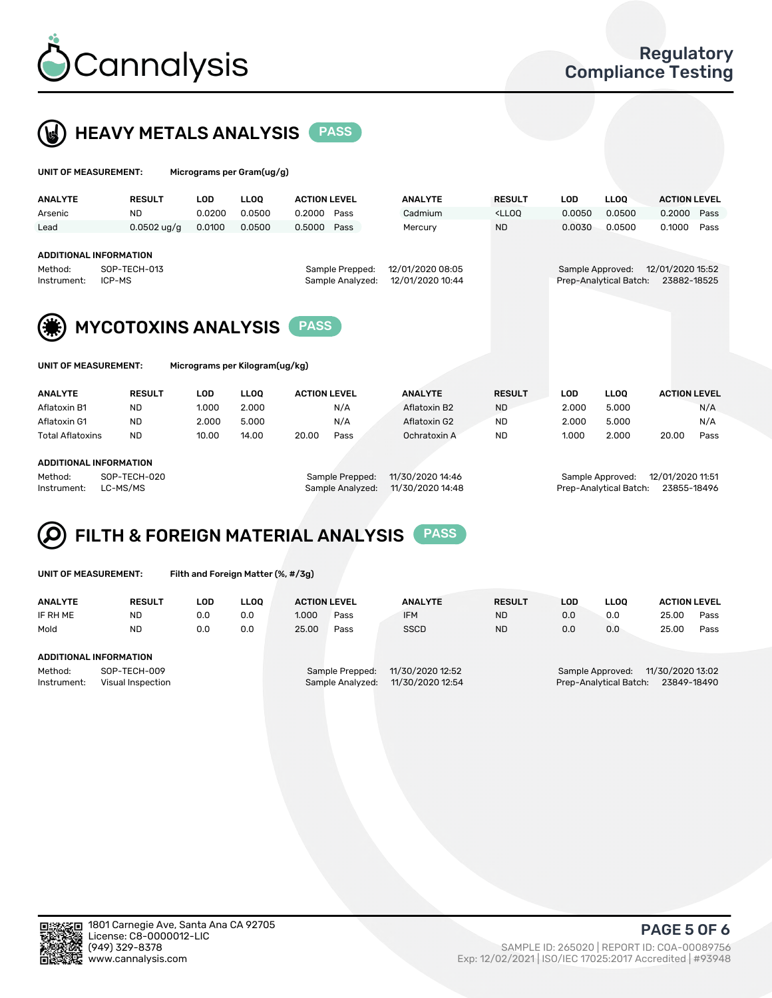



| UNIT OF MEASUREMENT:                                    |                            | Micrograms per Gram(ug/g) |             |                     |                                     |                                      |                                                                                 |                  |                        |                                 |      |
|---------------------------------------------------------|----------------------------|---------------------------|-------------|---------------------|-------------------------------------|--------------------------------------|---------------------------------------------------------------------------------|------------------|------------------------|---------------------------------|------|
| <b>ANALYTE</b>                                          | <b>RESULT</b>              | <b>LOD</b>                | <b>LLOO</b> | <b>ACTION LEVEL</b> |                                     | <b>ANALYTE</b>                       | <b>RESULT</b>                                                                   | <b>LOD</b>       | <b>LLOO</b>            | <b>ACTION LEVEL</b>             |      |
| Arsenic                                                 | <b>ND</b>                  | 0.0200                    | 0.0500      | 0.2000 Pass         |                                     | Cadmium                              | <lloq< td=""><td>0.0050</td><td>0.0500</td><td>0.2000</td><td>Pass</td></lloq<> | 0.0050           | 0.0500                 | 0.2000                          | Pass |
| Lead                                                    | $0.0502$ ug/g              | 0.0100                    | 0.0500      | 0.5000 Pass         |                                     | Mercury                              | <b>ND</b>                                                                       | 0.0030           | 0.0500                 | 0.1000                          | Pass |
| <b>ADDITIONAL INFORMATION</b><br>Method:<br>Instrument: | SOP-TECH-013<br>ICP-MS     |                           |             |                     | Sample Prepped:<br>Sample Analyzed: | 12/01/2020 08:05<br>12/01/2020 10:44 |                                                                                 | Sample Approved: | Prep-Analytical Batch: | 12/01/2020 15:52<br>23882-18525 |      |
| (纂)                                                     | <b>MYCOTOXINS ANALYSIS</b> |                           |             | <b>PASS</b>         |                                     |                                      |                                                                                 |                  |                        |                                 |      |



UNIT OF MEASUREMENT: Micrograms per Kilogram(ug/kg)

| <b>ANALYTE</b>          | <b>RESULT</b> | LOD   | LLOO  | <b>ACTION LEVEL</b> |      | <b>ANALYTE</b> | <b>RESULT</b> | LOD   | <b>LLOO</b> | <b>ACTION LEVEL</b> |      |
|-------------------------|---------------|-------|-------|---------------------|------|----------------|---------------|-------|-------------|---------------------|------|
| Aflatoxin B1            | <b>ND</b>     | 1.000 | 2.000 |                     | N/A  | Aflatoxin B2   | <b>ND</b>     | 2.000 | 5.000       |                     | N/A  |
| Aflatoxin G1            | <b>ND</b>     | 2.000 | 5.000 |                     | N/A  | Aflatoxin G2   | <b>ND</b>     | 2.000 | 5.000       |                     | N/A  |
| <b>Total Aflatoxins</b> | <b>ND</b>     | 10.00 | 14.00 | 20.00               | Pass | Ochratoxin A   | <b>ND</b>     | 1.000 | 2.000       | 20.00               | Pass |
|                         |               |       |       |                     |      |                |               |       |             |                     |      |

#### ADDITIONAL INFORMATION

Method: SOP-TECH-020 Sample Prepped: 11/30/2020 14:46 Sample Approved: 12/01/2020 11:51 Instrument: LC-MS/MS Sample Analyzed: 11/30/2020 14:48 Prep-Analytical Batch: 23855-18496

# FILTH & FOREIGN MATERIAL ANALYSIS PASS

UNIT OF MEASUREMENT: Filth and Foreign Matter (%, #/3g)

| <b>ANALYTE</b>                                              | <b>RESULT</b> | LOD | <b>LLOO</b> | <b>ACTION LEVEL</b> |                                     | <b>ANALYTE</b>                       | <b>RESULT</b> | LOD | <b>LLOO</b>                                | <b>ACTION LEVEL</b>             |      |
|-------------------------------------------------------------|---------------|-----|-------------|---------------------|-------------------------------------|--------------------------------------|---------------|-----|--------------------------------------------|---------------------------------|------|
| IF RH ME                                                    | <b>ND</b>     | 0.0 | 0.0         | 1.000               | Pass                                | <b>IFM</b>                           | <b>ND</b>     | 0.0 | 0.0                                        | 25.00                           | Pass |
| Mold                                                        | <b>ND</b>     | 0.0 | 0.0         | 25.00               | Pass                                | <b>SSCD</b>                          | <b>ND</b>     | 0.0 | 0.0                                        | 25.00                           | Pass |
| ADDITIONAL INFORMATION                                      |               |     |             |                     |                                     |                                      |               |     |                                            |                                 |      |
| Method:<br>SOP-TECH-009<br>Instrument:<br>Visual Inspection |               |     |             |                     | Sample Prepped:<br>Sample Analyzed: | 11/30/2020 12:52<br>11/30/2020 12:54 |               |     | Sample Approved:<br>Prep-Analytical Batch: | 11/30/2020 13:02<br>23849-18490 |      |



PAGE 5 OF 6